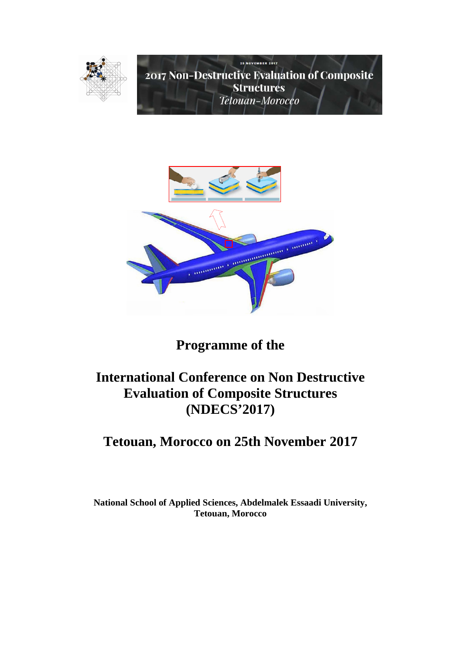



# **Programme of the**

# **International Conference on Non Destructive Evaluation of Composite Structures (NDECS'2017)**

# **Tetouan, Morocco on 25th November 2017**

**National School of Applied Sciences, Abdelmalek Essaadi University, Tetouan, Morocco**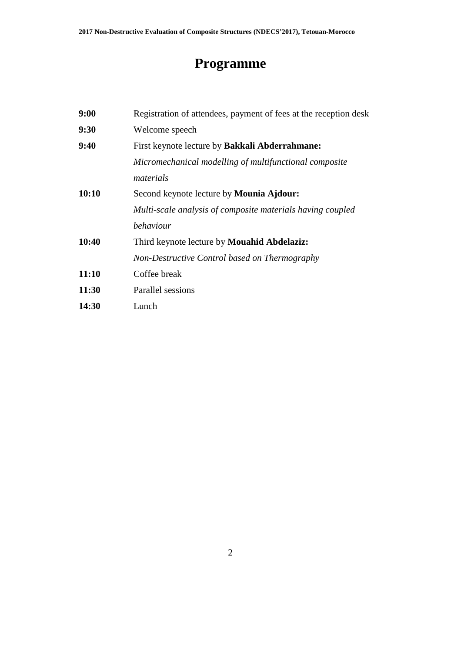# **Programme**

| 9:00         | Registration of attendees, payment of fees at the reception desk |
|--------------|------------------------------------------------------------------|
| 9:30         | Welcome speech                                                   |
| 9:40         | First keynote lecture by <b>Bakkali Abderrahmane:</b>            |
|              | Micromechanical modelling of multifunctional composite           |
|              | materials                                                        |
| 10:10        | Second keynote lecture by Mounia Ajdour:                         |
|              | Multi-scale analysis of composite materials having coupled       |
|              | behaviour                                                        |
| 10:40        | Third keynote lecture by Mouahid Abdelaziz:                      |
|              | Non-Destructive Control based on Thermography                    |
| 11:10        | Coffee break                                                     |
| 11:30        | Parallel sessions                                                |
| <b>14:30</b> | Lunch                                                            |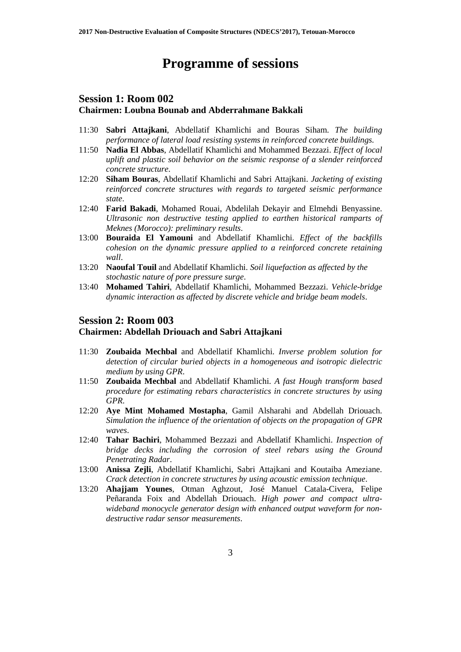## **Programme of sessions**

### **Session 1: Room 002 Chairmen: Loubna Bounab and Abderrahmane Bakkali**

- 11:30 **Sabri Attajkani**, Abdellatif Khamlichi and Bouras Siham. *The building performance of lateral load resisting systems in reinforced concrete buildings.*
- 11:50 **Nadia El Abbas**, Abdellatif Khamlichi and Mohammed Bezzazi. *Effect of local uplift and plastic soil behavior on the seismic response of a slender reinforced concrete structure*.
- 12:20 **Siham Bouras**, Abdellatif Khamlichi and Sabri Attajkani. *Jacketing of existing reinforced concrete structures with regards to targeted seismic performance state*.
- 12:40 **Farid Bakadi**, Mohamed Rouai, Abdelilah Dekayir and Elmehdi Benyassine. *Ultrasonic non destructive testing applied to earthen historical ramparts of Meknes (Morocco): preliminary results*.
- 13:00 **Bouraida El Yamouni** and Abdellatif Khamlichi. *Effect of the backfills cohesion on the dynamic pressure applied to a reinforced concrete retaining wall*.
- 13:20 **Naoufal Touil** and Abdellatif Khamlichi. *Soil liquefaction as affected by the stochastic nature of pore pressure surge*.
- 13:40 **Mohamed Tahiri**, Abdellatif Khamlichi, Mohammed Bezzazi. *Vehicle-bridge dynamic interaction as affected by discrete vehicle and bridge beam models*.

#### **Session 2: Room 003**

#### **Chairmen: Abdellah Driouach and Sabri Attajkani**

- 11:30 **Zoubaida Mechbal** and Abdellatif Khamlichi. *Inverse problem solution for detection of circular buried objects in a homogeneous and isotropic dielectric medium by using GPR*.
- 11:50 **Zoubaida Mechbal** and Abdellatif Khamlichi. *A fast Hough transform based procedure for estimating rebars characteristics in concrete structures by using GPR*.
- 12:20 **Aye Mint Mohamed Mostapha**, Gamil Alsharahi and Abdellah Driouach. *Simulation the influence of the orientation of objects on the propagation of GPR waves*.
- 12:40 **Tahar Bachiri**, Mohammed Bezzazi and Abdellatif Khamlichi. *Inspection of bridge decks including the corrosion of steel rebars using the Ground Penetrating Radar*.
- 13:00 **Anissa Zejli**, Abdellatif Khamlichi, Sabri Attajkani and Koutaiba Ameziane. *Crack detection in concrete structures by using acoustic emission technique*.
- 13:20 **Ahajjam Younes**, Otman Aghzout, José Manuel Catala-Civera, Felipe Peñaranda Foix and Abdellah Driouach. *High power and compact ultrawideband monocycle generator design with enhanced output waveform for nondestructive radar sensor measurements*.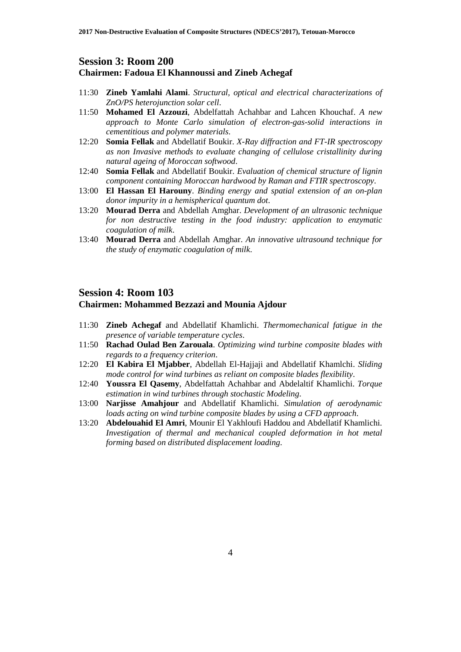#### **Session 3: Room 200**

#### **Chairmen: Fadoua El Khannoussi and Zineb Achegaf**

- 11:30 **Zineb Yamlahi Alami**. *Structural, optical and electrical characterizations of ZnO/PS heterojunction solar cell*.
- 11:50 **Mohamed El Azzouzi**, Abdelfattah Achahbar and Lahcen Khouchaf. *A new approach to Monte Carlo simulation of electron-gas-solid interactions in cementitious and polymer materials*.
- 12:20 **Somia Fellak** and Abdellatif Boukir. *X-Ray diffraction and FT-IR spectroscopy as non Invasive methods to evaluate changing of cellulose cristallinity during natural ageing of Moroccan softwood*.
- 12:40 **Somia Fellak** and Abdellatif Boukir. *Evaluation of chemical structure of lignin component containing Moroccan hardwood by Raman and FTIR spectroscopy*.
- 13:00 **El Hassan El Harouny**. *Binding energy and spatial extension of an on-plan donor impurity in a hemispherical quantum dot*.
- 13:20 **Mourad Derra** and Abdellah Amghar. *Development of an ultrasonic technique for non destructive testing in the food industry: application to enzymatic coagulation of milk*.
- 13:40 **Mourad Derra** and Abdellah Amghar. *An innovative ultrasound technique for the study of enzymatic coagulation of milk*.

### **Session 4: Room 103**

#### **Chairmen: Mohammed Bezzazi and Mounia Ajdour**

- 11:30 **Zineb Achegaf** and Abdellatif Khamlichi. *Thermomechanical fatigue in the presence of variable temperature cycles*.
- 11:50 **Rachad Oulad Ben Zarouala**. *Optimizing wind turbine composite blades with regards to a frequency criterion*.
- 12:20 **El Kabira El Mjabber**, Abdellah El-Hajjaji and Abdellatif Khamlchi. *Sliding mode control for wind turbines as reliant on composite blades flexibility*.
- 12:40 **Youssra El Qasemy**, Abdelfattah Achahbar and Abdelaltif Khamlichi. *Torque estimation in wind turbines through stochastic Modeling*.
- 13:00 **Narjisse Amahjour** and Abdellatif Khamlichi. *Simulation of aerodynamic loads acting on wind turbine composite blades by using a CFD approach*.
- 13:20 **Abdelouahid El Amri**, Mounir El Yakhloufi Haddou and Abdellatif Khamlichi. *Investigation of thermal and mechanical coupled deformation in hot metal forming based on distributed displacement loading*.